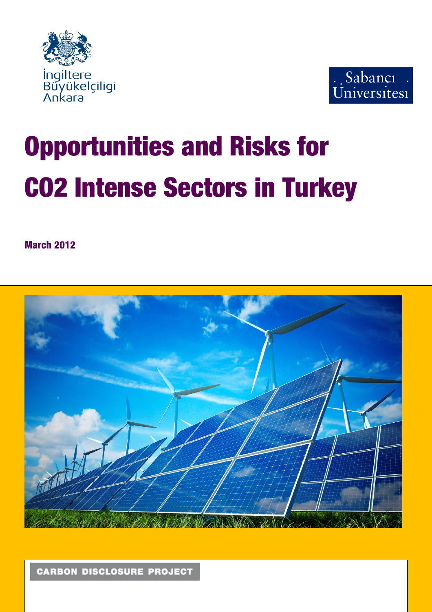



# Opportunities and Risks for CO2 Intense Sectors in Turkey

March 2012



**CARBON DISCLOSURE PROJECT**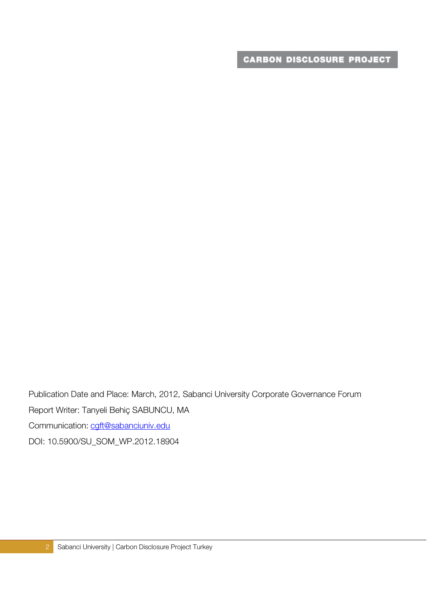Publication Date and Place: March, 2012, Sabanci University Corporate Governance Forum Report Writer: Tanyeli Behiç SABUNCU, MA Communication: cgft@sabanciuniv.edu DOI: 10.5900/SU\_SOM\_WP.2012.18904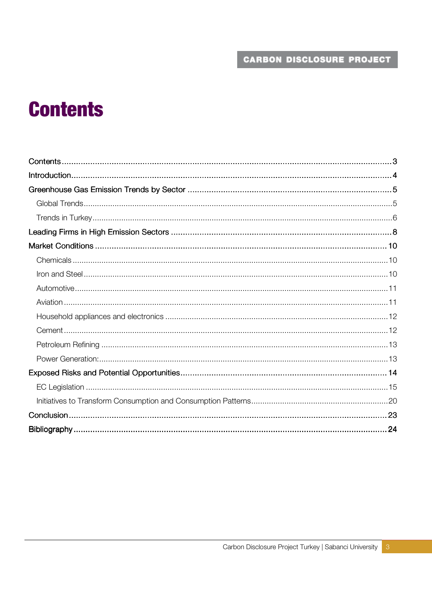# **Contents**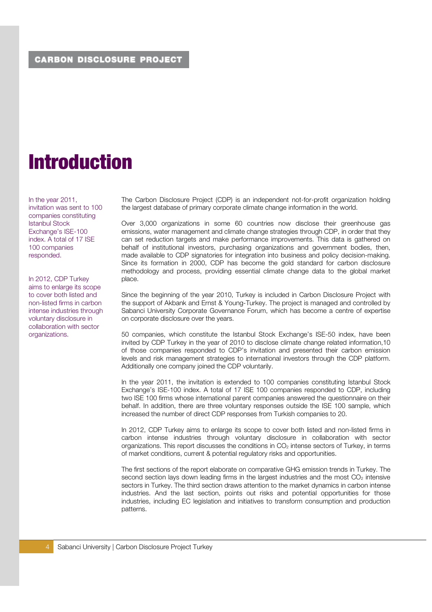# Introduction

In the year 2011, invitation was sent to 100 companies constituting Istanbul Stock Exchange's ISE-100 index. A total of 17 ISE 100 companies responded.

In 2012, CDP Turkey aims to enlarge its scope to cover both listed and non-listed firms in carbon intense industries through voluntary disclosure in collaboration with sector organizations.

The Carbon Disclosure Project (CDP) is an independent not-for-profit organization holding the largest database of primary corporate climate change information in the world.

Over 3,000 organizations in some 60 countries now disclose their greenhouse gas emissions, water management and climate change strategies through CDP, in order that they can set reduction targets and make performance improvements. This data is gathered on behalf of institutional investors, purchasing organizations and government bodies, then, made available to CDP signatories for integration into business and policy decision-making. Since its formation in 2000, CDP has become the gold standard for carbon disclosure methodology and process, providing essential climate change data to the global market place.

Since the beginning of the year 2010, Turkey is included in Carbon Disclosure Project with the support of Akbank and Ernst & Young-Turkey. The project is managed and controlled by Sabanci University Corporate Governance Forum, which has become a centre of expertise on corporate disclosure over the years.

50 companies, which constitute the Istanbul Stock Exchange's ISE-50 index, have been invited by CDP Turkey in the year of 2010 to disclose climate change related information,10 of those companies responded to CDP's invitation and presented their carbon emission levels and risk management strategies to international investors through the CDP platform. Additionally one company joined the CDP voluntarily.

In the year 2011, the invitation is extended to 100 companies constituting Istanbul Stock Exchange's ISE-100 index. A total of 17 ISE 100 companies responded to CDP, including two ISE 100 firms whose international parent companies answered the questionnaire on their behalf. In addition, there are three voluntary responses outside the ISE 100 sample, which increased the number of direct CDP responses from Turkish companies to 20.

In 2012, CDP Turkey aims to enlarge its scope to cover both listed and non-listed firms in carbon intense industries through voluntary disclosure in collaboration with sector organizations. This report discusses the conditions in  $CO<sub>2</sub>$  intense sectors of Turkey, in terms of market conditions, current & potential regulatory risks and opportunities.

The first sections of the report elaborate on comparative GHG emission trends in Turkey. The second section lays down leading firms in the largest industries and the most  $CO<sub>2</sub>$  intensive sectors in Turkey. The third section draws attention to the market dynamics in carbon intense industries. And the last section, points out risks and potential opportunities for those industries, including EC legislation and initiatives to transform consumption and production patterns.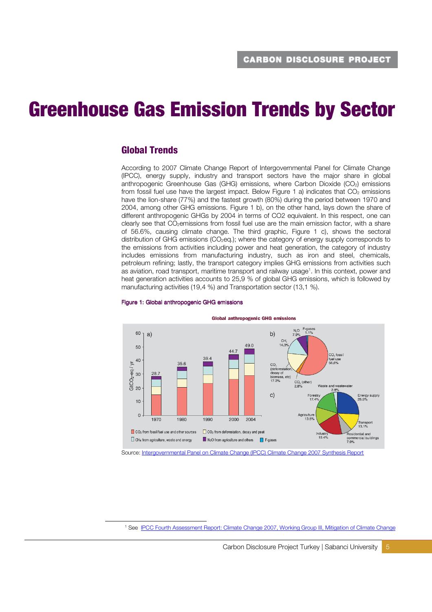# Greenhouse Gas Emission Trends by Sector

# Global Trends

-

According to 2007 Climate Change Report of Intergovernmental Panel for Climate Change (IPCC), energy supply, industry and transport sectors have the major share in global anthropogenic Greenhouse Gas (GHG) emissions, where Carbon Dioxide (CO<sub>2</sub>) emissions from fossil fuel use have the largest impact. Below Figure 1 a) indicates that  $CO<sub>2</sub>$  emissions have the lion-share (77%) and the fastest growth (80%) during the period between 1970 and 2004, among other GHG emissions. Figure 1 b), on the other hand, lays down the share of different anthropogenic GHGs by 2004 in terms of CO2 equivalent. In this respect, one can clearly see that CO<sub>2</sub>emissions from fossil fuel use are the main emission factor, with a share of 56.6%, causing climate change. The third graphic, Figure 1 c), shows the sectoral distribution of GHG emissions (CO2eq.); where the category of energy supply corresponds to the emissions from activities including power and heat generation, the category of industry includes emissions from manufacturing industry, such as iron and steel, chemicals, petroleum refining; lastly, the transport category implies GHG emissions from activities such as aviation, road transport, maritime transport and railway usage<sup>1</sup>. In this context, power and heat generation activities accounts to 25,9 % of global GHG emissions, which is followed by manufacturing activities (19,4 %) and Transportation sector (13,1 %).



#### Figure 1: Global anthropogenic GHG emissions

Source: Intergovernmental Panel on Climate Change (IPCC) Climate Change 2007 Synthesis Report

<sup>1</sup> See IPCC Fourth Assessment Report: Climate Change 2007, Working Group III, Mitigation of Climate Change

Carbon Disclosure Project Turkey | Sabanci University | 5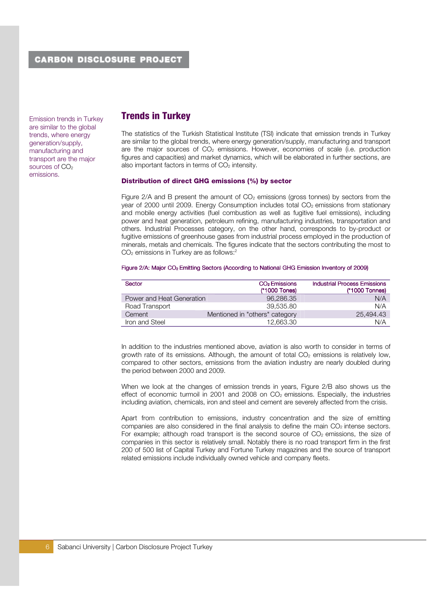Emission trends in Turkey are similar to the global trends, where energy generation/supply, manufacturing and transport are the major sources of CO<sub>2</sub> emissions.

# Trends in Turkey

The statistics of the Turkish Statistical Institute (TSI) indicate that emission trends in Turkey are similar to the global trends, where energy generation/supply, manufacturing and transport are the major sources of  $CO<sub>2</sub>$  emissions. However, economies of scale (i.e. production figures and capacities) and market dynamics, which will be elaborated in further sections, are also important factors in terms of  $CO<sub>2</sub>$  intensity.

### Distribution of direct GHG emissions (%) by sector

Figure 2/A and B present the amount of  $CO<sub>2</sub>$  emissions (gross tonnes) by sectors from the year of 2000 until 2009. Energy Consumption includes total CO<sub>2</sub> emissions from stationary and mobile energy activities (fuel combustion as well as fugitive fuel emissions), including power and heat generation, petroleum refining, manufacturing industries, transportation and others. Industrial Processes category, on the other hand, corresponds to by-product or fugitive emissions of greenhouse gases from industrial process employed in the production of minerals, metals and chemicals. The figures indicate that the sectors contributing the most to CO<sub>2</sub> emissions in Turkey are as follows:<sup>2</sup>

### Figure 2/A: Major CO<sub>2</sub> Emitting Sectors (According to National GHG Emission Inventory of 2009)

| <b>Sector</b>             | CO <sub>2</sub> Emissions<br>(*1000 Tones) | <b>Industrial Process Emissions</b><br>(*1000 Tonnes) |
|---------------------------|--------------------------------------------|-------------------------------------------------------|
| Power and Heat Generation | 96.286.35                                  | N/A                                                   |
| Road Transport            | 39.535.80                                  | N/A                                                   |
| Cement                    | Mentioned in "others" category             | 25,494,43                                             |
| Iron and Steel            | 12,663.30                                  | N/A                                                   |

In addition to the industries mentioned above, aviation is also worth to consider in terms of growth rate of its emissions. Although, the amount of total  $CO<sub>2</sub>$  emissions is relatively low, compared to other sectors, emissions from the aviation industry are nearly doubled during the period between 2000 and 2009.

When we look at the changes of emission trends in years, Figure 2/B also shows us the effect of economic turmoil in 2001 and 2008 on  $CO<sub>2</sub>$  emissions. Especially, the industries including aviation, chemicals, iron and steel and cement are severely affected from the crisis.

Apart from contribution to emissions, industry concentration and the size of emitting companies are also considered in the final analysis to define the main  $CO<sub>2</sub>$  intense sectors. For example; although road transport is the second source of  $CO<sub>2</sub>$  emissions, the size of companies in this sector is relatively small. Notably there is no road transport firm in the first 200 of 500 list of Capital Turkey and Fortune Turkey magazines and the source of transport related emissions include individually owned vehicle and company fleets.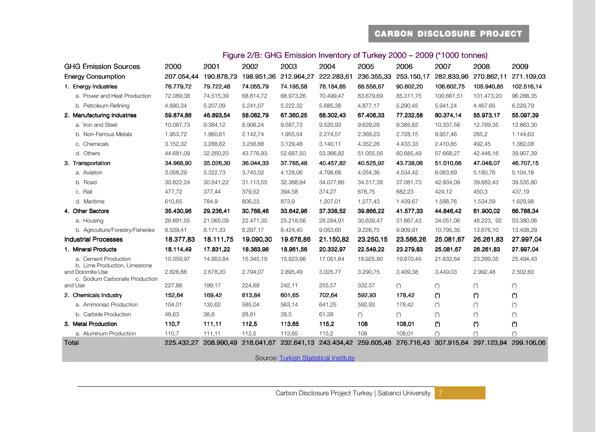| Figure 2/B: GHG Emission Inventory of Turkey 2000 – 2009 (*1000 tonnes) |           |           |           |           |                                                                                                               |           |            |      |      |
|-------------------------------------------------------------------------|-----------|-----------|-----------|-----------|---------------------------------------------------------------------------------------------------------------|-----------|------------|------|------|
| 2000                                                                    | 2001      | 2002      | 2003      | 2004      | 2005                                                                                                          | 2006      | 2007       | 2008 | 2009 |
|                                                                         |           |           |           |           | 207.054,44 190.878,73 198.951,36 212.964,27 222.283,61 236.355,33 253.150,17 282.833,96 270.862,11 271.109,03 |           |            |      |      |
| 76.779.72                                                               | 79.722.48 | 74.055.79 | 74.195.58 | 76.184.85 | 88.556.87                                                                                                     | 90.602.20 | 106.602.75 |      |      |

### Figure 2/B: GHG Emission Inventory of Turkey 2000 –

| Total                                                                               | 225.432.27            | 208.990.49             | 218.041.67             | 232.641.13            | 243.434,42             | 259.605.48            | 276.716.43             | 307.915.64                | 297.123.94                | 299.106.06                |
|-------------------------------------------------------------------------------------|-----------------------|------------------------|------------------------|-----------------------|------------------------|-----------------------|------------------------|---------------------------|---------------------------|---------------------------|
| a. Aluminum Production                                                              | 110,7                 | 111,11                 | 112,5                  | 113,65                | 115,2                  | 108                   | 108,01                 | $(\star)$                 | $(\dot{r})$               |                           |
| 3. Metal Production                                                                 | 110,7                 | 111,11                 | 112,5                  | 113,65                | 115,2                  | 108                   | 108,01                 | (*)                       | (*)                       | (*)                       |
| b. Carbide Production                                                               | 48,63                 | 38,8                   | 28,81                  | 38,5                  | 61,38                  | $(\star)$             | $(\star)$              | $(\dot{\phantom{a}})$     | $\left( ^{\star }\right)$ | $(\dot{\phantom{a}})$     |
| a. Ammoniac Production                                                              | 104,01                | 130,62                 | 585,04                 | 563,14                | 641,25                 | 592,93                | 178,42                 | $\left( ^{\star }\right)$ | $(\dot{z})$               | $\left( ^{\star }\right)$ |
| 2. Chemicals Industry                                                               | 152,64                | 169,42                 | 613,84                 | 601,65                | 702,64                 | 592,93                | 178,42                 | (*)                       | (                         | $(\dot{\phantom{a}})$     |
| and Use                                                                             | 227,86                | 199,17                 | 224,69                 | 242,11                | 255,57                 | 332,57                | $(\dot{r})$            | $(\dot{\phantom{a}})$     | $(\dot{\phantom{a}})$     | $(\dot{\phantom{a}})$     |
| b. Lime Production, Limestone<br>and Dolomite Use<br>c. Sodium Carbonate Production | 2.826,66              | 2.678,20               | 2.794,07               | 2.895,49              | 3.025,77               | 3.290,75              | 3.409,38               | 3.449,03                  | 2.992,48                  | 2.502,60                  |
| a. Cement Production                                                                | 15.059,97             | 14.953,84              | 15.345,19              | 15.823,96             | 17.051,64              | 18.925,90             | 19.870,45              | 21.632,64                 | 23.269,35                 | 25.494,43                 |
| 1. Mineral Products                                                                 | 18.114,49             | 18.111,75<br>17.831,22 | 19.090,30<br>18.363,96 | 18.961,56             | 21.150,82<br>20.332,97 | 22.549,22             | 23.566,26<br>23.279,83 | 25.081,67                 | 26.261,83                 | 27.997,04                 |
| b. Agriculture/Forestry/Fisheries<br><b>Industrial Processes</b>                    | 8.539,41<br>18.377,83 | 8.171,33               | 8.297,17               | 8.424,40<br>19.676,86 | 9.053,60               | 9.226,75<br>23.250,15 | 9.909,91               | 10.795,35<br>25.081,67    | 13.676,10<br>26.261,83    | 13.408,29<br>27.997,04    |
| a. Housing                                                                          | 26.891,55             | 21.065,09              | 22.471,30              | 25.218,56             | 28.284,91              | 30.639,47             | 31.667,43              | 34.051,06                 | 48.223, 92                | 53.380,06                 |
| 4. Other Sectors                                                                    | 35.430,96             | 29.236,41              | 30.768,46              | 33.642,96             | 37.338,52              | 39.866,22             | 41.577,33              | 44.846,42                 | 61.900,02                 | 66.788,34                 |
| d. Maritime                                                                         | 610,65                | 784,9                  | 806,23                 | 873,9                 | 1.207,01               | 1.277,43              | 1.439,67               | 1.588,76                  | 1.534,59                  | 1.629,98                  |
| c. Rail                                                                             | 477,72                | 377,44                 | 379,52                 | 394,58                | 374,27                 | 676,75                | 682,23                 | 424,12                    | 450,3                     | 437,19                    |
| b. Road                                                                             | 30.822,24             | 30.541,22              | 31.113,55              | 32.368,94             | 34.077,86              | 34.517,38             | 37.081,73              | 42.934,09                 | 39.882,43                 | 39.535,80                 |
| a. Aviation                                                                         | 3.058,29              | 3.322,73               | 3.745,02               | 4.128,06              | 4.798,68               | 4.054,36              | 4.534,42               | 6.063,69                  | 5.180,76                  | 5.104,18                  |
| 3. Transportation                                                                   | 34.968,90             | 35.026,30              | 36.044,33              | 37.765,48             | 40.457,82              | 40.525,92             | 43.738,06              | 51.010,66                 | 47.048,07                 | 46.707,15                 |
| d. Others                                                                           | 44.681,09             | 32.260,20              | 43.776,93              | 52.687,50             | 53.366,82              | 51.055,56             | 60.685,49              | 57.668,27                 | 42.446,16                 | 39.907,39                 |
| c. Chemicals                                                                        | 3.152,32              | 3.288,62               | 3.256,88               | 3.129,48              | 3.140,11               | 4.352,26              | 4.433,33               | 2.410,85                  | 492,45                    | 1.382,08                  |
| b. Non-Ferrous Metals                                                               | 1.953,72              | 1.960,61               | 2.142,74               | 1.955,54              | 2.274,57               | 2.369,23              | 2.728,15               | 9.957,46                  | 265,2                     | 1.144,63                  |
| a. Iron and Steel                                                                   | 10.087,73             | 9.384,12               | 8.906,24               | 9.587,73              | 9.520,93               | 9.629,28              | 9.385,62               | 10.337,56                 | 12.769,35                 | 12.663,30                 |
| 2. Manufacturing Industries                                                         | 59.874,86             | 46.893,54              | 58.082,79              | 67.360,25             | 68.302,43              | 67.406,33             | 77.232,58              | 80.374,14                 | 55.973,17                 | 55.097,39                 |
| b. Petroleum Refining                                                               | 4.690,34              | 5.207,09               | 5.241,07               | 5.222,32              | 5.685,38               | 4.877,17              | 5.290,45               | 5.941,24                  | 4.467,65                  | 6.229,79                  |

a. Power and Heat Production 72.089,38 74.515,39 68.814,72 68.973,26 70.499,47 83.679,69 85.311,75 100.661,51 101.473,20 96.286,35

GHG Emission Sources

**Energy Consumption** 

1. Energy Industries

Source: Turkish Statistical Institute

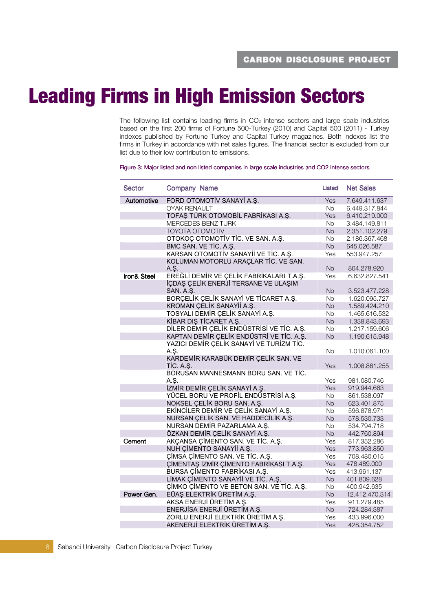# Leading Firms in High Emission Sectors

The following list contains leading firms in  $CO<sub>2</sub>$  intense sectors and large scale industries based on the first 200 firms of Fortune 500-Turkey (2010) and Capital 500 (2011) - Turkey indexes published by Fortune Turkey and Capital Turkey magazines. Both indexes list the firms in Turkey in accordance with net sales figures. The financial sector is excluded from our list due to their low contribution to emissions.

#### Figure 3: Major listed and non listed companies in large scale industries and CO2 intense sectors

| Sector                 | Company Name                                      | Listed     | <b>Net Sales</b> |
|------------------------|---------------------------------------------------|------------|------------------|
| Automotive             | FORD OTOMOTIV SANAYI A.S.                         | Yes        | 7.649.411.637    |
|                        | <b>OYAK RENAULT</b>                               | No.        | 6.449.317.844    |
|                        | TOFAŞ TÜRK OTOMOBİL FABRİKASI A.Ş.                | Yes        | 6.410.219.000    |
|                        | MERCEDES BENZ TURK                                | <b>No</b>  | 3.484.149.811    |
|                        | <b>TOYOTA OTOMOTIV</b>                            | <b>No</b>  | 2.351.102.279    |
|                        | OTOKOÇ OTOMOTİV TİC. VE SAN. A.Ş.                 | <b>No</b>  | 2.186.367.468    |
|                        | BMC SAN. VE TİC. A.Ş.                             | No         | 645.026.587      |
|                        | KARSAN OTOMOTİV SANAYİİ VE TİC. A.Ş.              | Yes        | 553.947.257      |
|                        | KOLUMAN MOTORLU ARAÇLAR TİC. VE SAN.<br>A.S.      | <b>No</b>  | 804.278.920      |
| <b>Iron&amp; Steel</b> | EREĞLİ DEMİR VE ÇELİK FABRİKALARI T.A.Ş.          | Yes        | 6.632.827.541    |
|                        | İÇDAŞ ÇELİK ENERJİ TERSANE VE ULAŞIM<br>SAN. A.S. | <b>No</b>  | 3.523.477.228    |
|                        | BORÇELİK ÇELİK SANAYİ VE TİCARET A.Ş.             | <b>No</b>  | 1.620.095.727    |
|                        | KROMAN ÇELİK SANAYİİ A.Ş.                         | <b>No</b>  | 1.589.424.210    |
|                        | TOSYALI DEMİR ÇELİK SANAYİ A.Ş.                   | No.        | 1.465.616.532    |
|                        | KİBAR DIŞ TİCARET A.Ş.                            | <b>No</b>  | 1.338.843.693    |
|                        | DİLER DEMİR ÇELİK ENDÜSTRİSİ VE TİC. A.Ş.         | <b>No</b>  | 1.217.159.606    |
|                        | KAPTAN DEMİR ÇELİK ENDÜSTRİ VE TİC. A.Ş.          | <b>No</b>  | 1.190.615.948    |
|                        | YAZICI DEMİR ÇELİK SANAYİ VE TURİZM TİC.          |            |                  |
|                        | A.Ş.                                              | <b>No</b>  | 1.010.061.100    |
|                        | KARDEMİR KARABÜK DEMİR ÇELİK SAN. VE<br>TIC. A.S. | Yes        | 1.008.861.255    |
|                        | BORUSAN MANNESMANN BORU SAN. VE TİC.              |            |                  |
|                        | A.S.                                              | Yes        | 981.080.746      |
|                        | İZMİR DEMİR ÇELİK SANAYİ A.Ş.                     | <b>Yes</b> | 919.944.663      |
|                        | YÜCEL BORU VE PROFİL ENDÜSTRİSİ A.Ş.              | <b>No</b>  | 861.538.097      |
|                        | NOKSEL CELIK BORU SAN. A.S.                       | <b>No</b>  | 623.401.875      |
|                        | EKİNCİLER DEMİR VE ÇELİK SANAYİ A.Ş.              | <b>No</b>  | 596.878.971      |
|                        | NURSAN ÇELİK SAN. VE HADDECİLİK A.Ş.              | <b>No</b>  | 578,530,733      |
|                        | NURSAN DEMİR PAZARLAMA A.Ş.                       | <b>No</b>  | 534.794.718      |
|                        | ÖZKAN DEMİR ÇELİK SANAYİ A.Ş.                     | <b>No</b>  | 442.760.894      |
| Cement                 | AKÇANSA ÇİMENTO SAN. VE TİC. A.Ş.                 | Yes        | 817.352.286      |
|                        | NUH ÇİMENTO SANAYİİ A.Ş.                          | Yes        | 773,963,850      |
|                        | CIMSA CIMENTO SAN. VE TIC. A.S.                   | Yes        | 708.480.015      |
|                        | CIMENTAS IZMIR CIMENTO FABRIKASI T.A.S.           | Yes        | 478.489.000      |
|                        | <b>BURSA CIMENTO FABRIKASI A.S.</b>               | Yes        | 413.961.137      |
|                        | LİMAK ÇİMENTO SANAYİİ VE TİC. A.Ş.                | <b>No</b>  | 401.809.628      |
|                        | ÇİMKO ÇİMENTO VE BETON SAN. VE TİC. A.Ş.          | No.        | 400.942.635      |
| Power Gen.             | EÜAŞ ELEKTRİK ÜRETİM A.Ş.                         | <b>No</b>  | 12.412.470.314   |
|                        | AKSA ENERJİ ÜRETİM A.Ş.                           | Yes        | 911.279.485      |
|                        | ENERJİSA ENERJİ ÜRETİM A.Ş.                       | No         | 724.284.387      |
|                        | ZORLU ENERJİ ELEKTRİK ÜRETİM A.Ş.                 | Yes        | 433.996.000      |
|                        | AKENERJİ ELEKTRİK ÜRETİM A.Ş.                     | Yes        | 428.354.752      |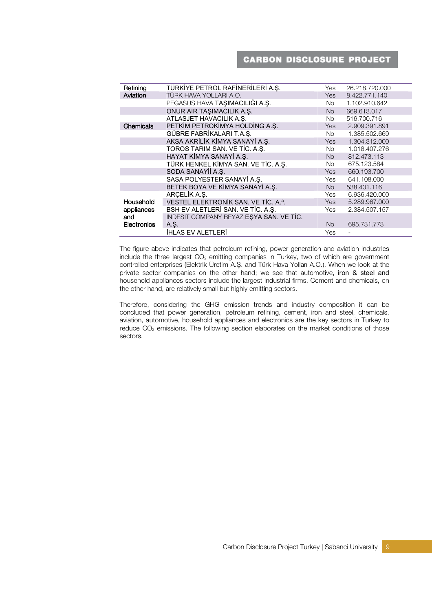| Refining           | TÜRKİYE PETROL RAFİNERİLERİ A.Ş.        | Yes       | 26.218.720.000 |
|--------------------|-----------------------------------------|-----------|----------------|
| Aviation           | TÜRK HAVA YOLLARI A.O.                  | Yes       | 8.422.771.140  |
|                    | PEGASUS HAVA TAŞIMACILIĞI A.Ş.          | No l      | 1.102.910.642  |
|                    | ONUR AIR TAŞIMACILIK A.Ş.               | <b>No</b> | 669.613.017    |
|                    | ATLASJET HAVACILIK A.Ş.                 | No.       | 516.700.716    |
| Chemicals          | PETKIM PETROKIMYA HOLDING A.Ş.          | Yes       | 2.909.391.891  |
|                    | GÜBRE FABRİKALARI T.A.Ş.                | No l      | 1.385.502.669  |
|                    | AKSA AKRİLİK KİMYA SANAYİ A.Ş.          | Yes       | 1.304.312.000  |
|                    | TOROS TARIM SAN. VE TİC. A.Ş.           | No l      | 1.018.407.276  |
|                    | HAYAT KİMYA SANAYİ A.Ş.                 | No        | 812.473.113    |
|                    | TÜRK HENKEL KİMYA SAN. VE TİC. A.Ş.     | No.       | 675.123.584    |
|                    | SODA SANAYİİ A.Ş.                       | Yes       | 660.193.700    |
|                    | SASA POLYESTER SANAYİ A.Ş.              | Yes       | 641.108.000    |
|                    | BETEK BOYA VE KİMYA SANAYİ A.Ş.         | No        | 538,401.116    |
|                    | ARCELIK A.S.                            | Yes       | 6.936.420.000  |
| Household          | VESTEL ELEKTRONİK SAN. VE TİC. A.ª.     | Yes       | 5.289.967.000  |
| appliances         | BSH EV ALETLERİ SAN. VE TİC. A.Ş.       | Yes       | 2.384.507.157  |
| and                | INDESIT COMPANY BEYAZ ESYA SAN. VE TİC. |           |                |
| <b>Electronics</b> | A.S.                                    | <b>No</b> | 695.731.773    |
|                    | <b>İHLAS EV ALETLERİ</b>                | Yes       |                |

The figure above indicates that petroleum refining, power generation and aviation industries include the three largest  $CO<sub>2</sub>$  emitting companies in Turkey, two of which are government controlled enterprises (Elektrik Üretim A.Ş. and Türk Hava Yolları A.O.). When we look at the private sector companies on the other hand; we see that automotive, iron & steel and household appliances sectors include the largest industrial firms. Cement and chemicals, on the other hand, are relatively small but highly emitting sectors.

Therefore, considering the GHG emission trends and industry composition it can be concluded that power generation, petroleum refining, cement, iron and steel, chemicals, aviation, automotive, household appliances and electronics are the key sectors in Turkey to reduce  $CO<sub>2</sub>$  emissions. The following section elaborates on the market conditions of those sectors.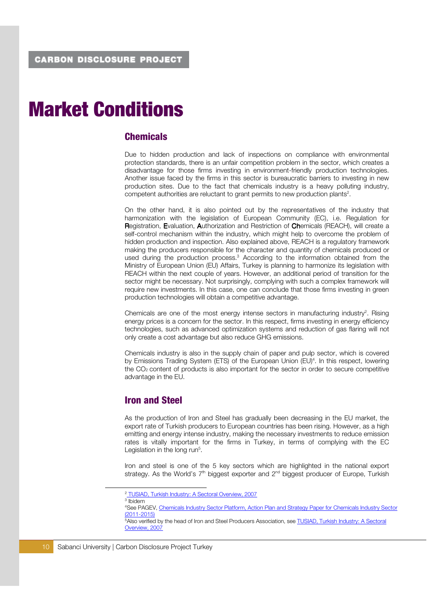# Market Conditions

### **Chemicals**

Due to hidden production and lack of inspections on compliance with environmental protection standards, there is an unfair competition problem in the sector, which creates a disadvantage for those firms investing in environment-friendly production technologies. Another issue faced by the firms in this sector is bureaucratic barriers to investing in new production sites. Due to the fact that chemicals industry is a heavy polluting industry, competent authorities are reluctant to grant permits to new production plants<sup>2</sup>.

On the other hand, it is also pointed out by the representatives of the industry that harmonization with the legislation of European Community (EC), i.e. Regulation for Registration, Evaluation, Authorization and Restriction of Chemicals (REACH), will create a self-control mechanism within the industry, which might help to overcome the problem of hidden production and inspection. Also explained above, REACH is a regulatory framework making the producers responsible for the character and quantity of chemicals produced or used during the production process.<sup>3</sup> According to the information obtained from the Ministry of European Union (EU) Affairs, Turkey is planning to harmonize its legislation with REACH within the next couple of years. However, an additional period of transition for the sector might be necessary. Not surprisingly, complying with such a complex framework will require new investments. In this case, one can conclude that those firms investing in green production technologies will obtain a competitive advantage.

Chemicals are one of the most energy intense sectors in manufacturing industry<sup>2</sup>. Rising energy prices is a concern for the sector. In this respect, firms investing in energy efficiency technologies, such as advanced optimization systems and reduction of gas flaring will not only create a cost advantage but also reduce GHG emissions.

Chemicals industry is also in the supply chain of paper and pulp sector, which is covered by Emissions Trading System (ETS) of the European Union (EU)<sup>4</sup>. In this respect, lowering the CO2 content of products is also important for the sector in order to secure competitive advantage in the EU.

### Iron and Steel

As the production of Iron and Steel has gradually been decreasing in the EU market, the export rate of Turkish producers to European countries has been rising. However, as a high emitting and energy intense industry, making the necessary investments to reduce emission rates is vitally important for the firms in Turkey, in terms of complying with the EC Legislation in the long run<sup>5</sup>.

Iron and steel is one of the 5 key sectors which are highlighted in the national export strategy. As the World's 7<sup>th</sup> biggest exporter and 2<sup>nd</sup> biggest producer of Europe, Turkish

3 Ibidem

<sup>&</sup>lt;sup>2</sup> TUSIAD, Turkish Industry: A Sectoral Overview, 2007

<sup>4</sup>See PAGEV, Chemicals Industry Sector Platform, Action Plan and Strategy Paper for Chemicals Industry Sector (2011-2015)

<sup>5</sup>Also verified by the head of Iron and Steel Producers Association, see TUSIAD, Turkish Industry: A Sectoral Overview, 2007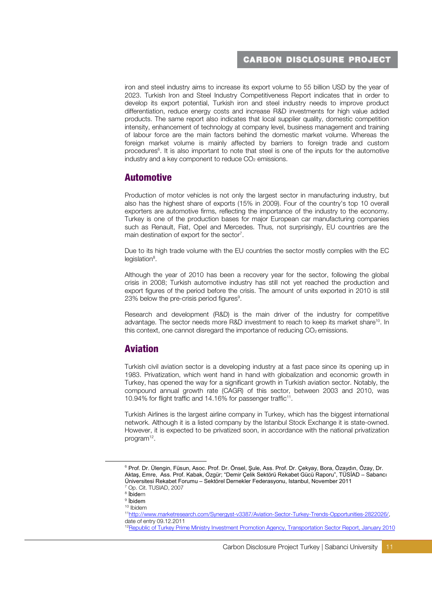iron and steel industry aims to increase its export volume to 55 billion USD by the year of 2023. Turkish Iron and Steel Industry Competitiveness Report indicates that in order to develop its export potential, Turkish iron and steel industry needs to improve product differentiation, reduce energy costs and increase R&D investments for high value added products. The same report also indicates that local supplier quality, domestic competition intensity, enhancement of technology at company level, business management and training of labour force are the main factors behind the domestic market volume. Whereas the foreign market volume is mainly affected by barriers to foreign trade and custom procedures<sup>6</sup>. It is also important to note that steel is one of the inputs for the automotive industry and a key component to reduce CO<sub>2</sub> emissions.

### Automotive

Production of motor vehicles is not only the largest sector in manufacturing industry, but also has the highest share of exports (15% in 2009). Four of the country's top 10 overall exporters are automotive firms, reflecting the importance of the industry to the economy. Turkey is one of the production bases for major European car manufacturing companies such as Renault, Fiat, Opel and Mercedes. Thus, not surprisingly, EU countries are the main destination of export for the sector<sup>7</sup>.

Due to its high trade volume with the EU countries the sector mostly complies with the EC legislation<sup>8</sup>.

Although the year of 2010 has been a recovery year for the sector, following the global crisis in 2008; Turkish automotive industry has still not yet reached the production and export figures of the period before the crisis. The amount of units exported in 2010 is still 23% below the pre-crisis period figures<sup>9</sup>.

Research and development (R&D) is the main driver of the industry for competitive advantage. The sector needs more R&D investment to reach to keep its market share<sup>10</sup>. In this context, one cannot disregard the importance of reducing  $CO<sub>2</sub>$  emissions.

# Aviation

Turkish civil aviation sector is a developing industry at a fast pace since its opening up in 1983. Privatization, which went hand in hand with globalization and economic growth in Turkey, has opened the way for a significant growth in Turkish aviation sector. Notably, the compound annual growth rate (CAGR) of this sector, between 2003 and 2010, was 10.94% for flight traffic and 14.16% for passenger traffic<sup>11</sup> .

Turkish Airlines is the largest airline company in Turkey, which has the biggest international network. Although it is a listed company by the Istanbul Stock Exchange it is state-owned. However, it is expected to be privatized soon, in accordance with the national privatization program<sup>12</sup>.

<sup>6</sup> Prof. Dr. Ülengin, Füsun, Asoc. Prof. Dr. Önsel, Şule, Ass. Prof. Dr. Çekyay, Bora, Özaydın, Özay, Dr. Aktaş, Emre, Ass. Prof. Kabak, Özgür; "Demir Çelik Sektörü Rekabet Gücü Raporu", TÜSİAD – Sabancı Üniversitesi Rekabet Forumu – Sektörel Dernekler Federasyonu, Istanbul, November 2011 7 Op. Cit. TUSIAD, 2007

<sup>&</sup>lt;sup>8</sup> İbidem

 $^{\circ}$  İbidem

<sup>10</sup> Ibidem

<sup>11</sup>http://www.marketresearch.com/Synergyst-v3387/Aviation-Sector-Turkey-Trends-Opportunities-2822026/, date of entry 09.12.2011

<sup>&</sup>lt;sup>12</sup>Republic of Turkey Prime Ministry Investment Promotion Agency, Transportation Sector Report, January 2010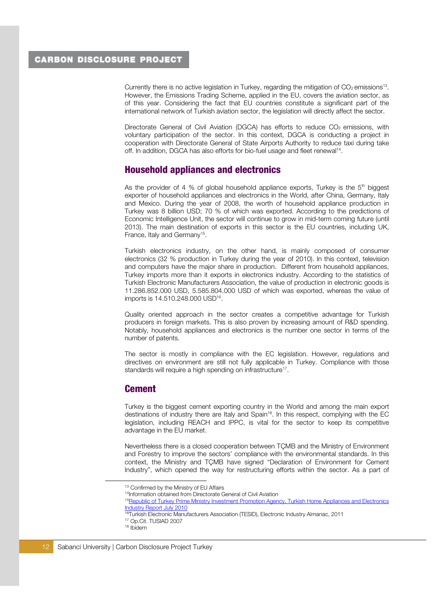Currently there is no active legislation in Turkey, regarding the mitigation of  $CO<sub>2</sub>$  emissions<sup>13</sup>. However, the Emissions Trading Scheme, applied in the EU, covers the aviation sector, as of this year. Considering the fact that EU countries constitute a significant part of the international network of Turkish aviation sector, the legislation will directly affect the sector.

Directorate General of Civil Aviation (DGCA) has efforts to reduce CO<sub>2</sub> emissions, with voluntary participation of the sector. In this context, DGCA is conducting a project in cooperation with Directorate General of State Airports Authority to reduce taxi during take off. In addition, DGCA has also efforts for bio-fuel usage and fleet renewal<sup>14</sup>.

### Household appliances and electronics

As the provider of 4 % of global household appliance exports, Turkey is the  $5<sup>th</sup>$  biggest exporter of household appliances and electronics in the World, after China, Germany, Italy and Mexico. During the year of 2008, the worth of household appliance production in Turkey was 8 billion USD; 70 % of which was exported. According to the predictions of Economic Intelligence Unit, the sector will continue to grow in mid-term coming future (until 2013). The main destination of exports in this sector is the EU countries, including UK, France, Italy and Germany<sup>15</sup>.

Turkish electronics industry, on the other hand, is mainly composed of consumer electronics (32 % production in Turkey during the year of 2010). In this context, television and computers have the major share in production. Different from household appliances, Turkey imports more than it exports in electronics industry. According to the statistics of Turkish Electronic Manufacturers Association, the value of production in electronic goods is 11.286.852.000 USD, 5.585.804.000 USD of which was exported, whereas the value of imports is 14.510.248.000 USD<sup>16</sup>.

Quality oriented approach in the sector creates a competitive advantage for Turkish producers in foreign markets. This is also proven by increasing amount of R&D spending. Notably, household appliances and electronics is the number one sector in terms of the number of patents.

The sector is mostly in compliance with the EC legislation. However, regulations and directives on environment are still not fully applicable in Turkey. Compliance with those standards will require a high spending on infrastructure<sup>17</sup>.

### Cement

Turkey is the biggest cement exporting country in the World and among the main export destinations of industry there are Italy and Spain<sup>18</sup>. In this respect, complying with the EC legislation, including REACH and IPPC, is vital for the sector to keep its competitive advantage in the EU market.

Nevertheless there is a closed cooperation between TÇMB and the Ministry of Environment and Forestry to improve the sectors' compliance with the environmental standards. In this context, the Ministry and TÇMB have signed "Declaration of Environment for Cement Industry", which opened the way for restructuring efforts within the sector. As a part of

<sup>14</sup>Information obtained from Directorate General of Civil Aviation

<sup>13</sup> Confirmed by the Ministry of EU Affairs

<sup>&</sup>lt;sup>15</sup>Republic of Turkey Prime Ministry Investment Promotion Agency, Turkish Home Appliances and Electronics Industry Report July 2010

<sup>16</sup>Turkish Electronic Manufacturers Association (TESID), Electronic Industry Almanac, 2011

<sup>17</sup> Op.Cit. TUSIAD 2007

<sup>18</sup> Ibidem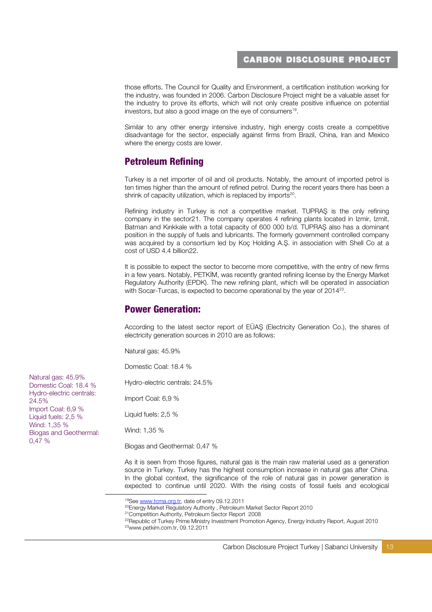those efforts, The Council for Quality and Environment, a certification institution working for the industry, was founded in 2006. Carbon Disclosure Project might be a valuable asset for the industry to prove its efforts, which will not only create positive influence on potential investors, but also a good image on the eye of consumers<sup>19</sup>.

Similar to any other energy intensive industry, high energy costs create a competitive disadvantage for the sector, especially against firms from Brazil, China, Iran and Mexico where the energy costs are lower.

# Petroleum Refining

Turkey is a net importer of oil and oil products. Notably, the amount of imported petrol is ten times higher than the amount of refined petrol. During the recent years there has been a shrink of capacity utilization, which is replaced by imports<sup>20</sup>.

Refining industry in Turkey is not a competitive market. TUPRAŞ is the only refining company in the sector21. The company operates 4 refining plants located in Izmir, Izmit, Batman and Kırıkkale with a total capacity of 600 000 b/d. TUPRAŞ also has a dominant position in the supply of fuels and lubricants. The formerly government controlled company was acquired by a consortium led by Koç Holding A.Ş. in association with Shell Co at a cost of USD 4.4 billion22.

It is possible to expect the sector to become more competitive, with the entry of new firms in a few years. Notably, PETKİM, was recently granted refining license by the Energy Market Regulatory Authority (EPDK). The new refining plant, which will be operated in association with Socar-Turcas, is expected to become operational by the year of 2014<sup>23</sup>.

# Power Generation:

According to the latest sector report of EÜAŞ (Electricity Generation Co.), the shares of electricity generation sources in 2010 are as follows:

Natural gas: 45.9%

Domestic Coal: 18.4 %

Hydro-electric centrals: 24.5%

Import Coal: 6,9 %

Liquid fuels: 2,5 %

Wind: 1,35 %

-

Biogas and Geothermal: 0,47 %

As it is seen from those figures, natural gas is the main raw material used as a generation source in Turkey. Turkey has the highest consumption increase in natural gas after China. In the global context, the significance of the role of natural gas in power generation is expected to continue until 2020. With the rising costs of fossil fuels and ecological

Carbon Disclosure Project Turkey | Sabanci University | 13

Natural gas: 45.9% Domestic Coal: 18.4 % Hydro-electric centrals: 24.5% Import Coal: 6,9 % Liquid fuels: 2,5 % Wind: 1,35 % Biogas and Geothermal: 0,47 %

<sup>&</sup>lt;sup>19</sup>See www.tcma.org.tr, date of entry 09.12.2011

<sup>&</sup>lt;sup>20</sup>Energy Market Regulatory Authority, Petroleum Market Sector Report 2010

<sup>21</sup>Competition Authority, Petroleum Sector Report 2008

<sup>&</sup>lt;sup>22</sup>Republic of Turkey Prime Ministry Investment Promotion Agency, Energy Industry Report, August 2010 23www.petkim.com.tr, 09.12.2011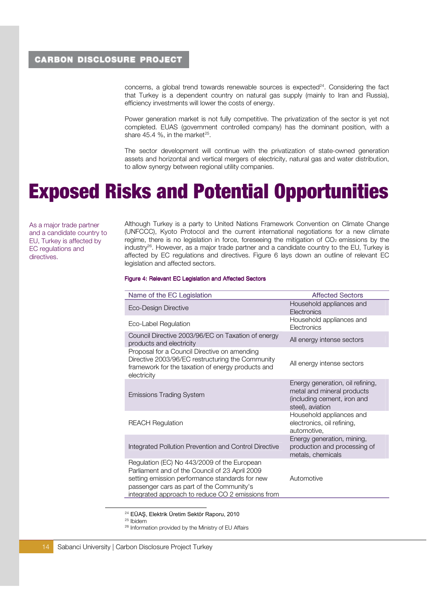concerns, a global trend towards renewable sources is  $expected<sup>24</sup>$ . Considering the fact that Turkey is a dependent country on natural gas supply (mainly to Iran and Russia), efficiency investments will lower the costs of energy.

Power generation market is not fully competitive. The privatization of the sector is yet not completed. EUAS (government controlled company) has the dominant position, with a share 45.4 %, in the market<sup>25</sup>.

The sector development will continue with the privatization of state-owned generation assets and horizontal and vertical mergers of electricity, natural gas and water distribution, to allow synergy between regional utility companies.

# Exposed Risks and Potential Opportunities

As a major trade partner and a candidate country to EU, Turkey is affected by EC regulations and directives.

Although Turkey is a party to United Nations Framework Convention on Climate Change (UNFCCC), Kyoto Protocol and the current international negotiations for a new climate regime, there is no legislation in force, fore seeing the mitigation of  $CO<sub>2</sub>$  emissions by the industry<sup>26</sup>. However, as a major trade partner and a candidate country to the EU, Turkey is affected by EC regulations and directives. Figure 6 lays down an outline of relevant EC legislation and affected sectors.

#### Figure 4: Relevant EC Legislation and Affected Sectors

| Name of the EC Legislation                                                                                                                                                                                                                        | <b>Affected Sectors</b>                                                                                           |
|---------------------------------------------------------------------------------------------------------------------------------------------------------------------------------------------------------------------------------------------------|-------------------------------------------------------------------------------------------------------------------|
| Eco-Design Directive                                                                                                                                                                                                                              | Household appliances and<br>Electronics                                                                           |
| Eco-Label Regulation                                                                                                                                                                                                                              | Household appliances and<br>Electronics                                                                           |
| Council Directive 2003/96/EC on Taxation of energy<br>products and electricity                                                                                                                                                                    | All energy intense sectors                                                                                        |
| Proposal for a Council Directive on amending<br>Directive 2003/96/EC restructuring the Community<br>framework for the taxation of energy products and<br>electricity                                                                              | All energy intense sectors                                                                                        |
| <b>Emissions Trading System</b>                                                                                                                                                                                                                   | Energy generation, oil refining,<br>metal and mineral products<br>(including cement, iron and<br>steel), aviation |
| <b>REACH Regulation</b>                                                                                                                                                                                                                           | Household appliances and<br>electronics, oil refining,<br>automotive,                                             |
| Integrated Pollution Prevention and Control Directive                                                                                                                                                                                             | Energy generation, mining,<br>production and processing of<br>metals, chemicals                                   |
| Regulation (EC) No 443/2009 of the European<br>Parliament and of the Council of 23 April 2009<br>setting emission performance standards for new<br>passenger cars as part of the Community's<br>integrated approach to reduce CO 2 emissions from | Automotive                                                                                                        |

<sup>24</sup> EÜAŞ, Elektrik Üretim Sektör Raporu, 2010

 $25$  Ibidem

26 Information provided by the Ministry of EU Affairs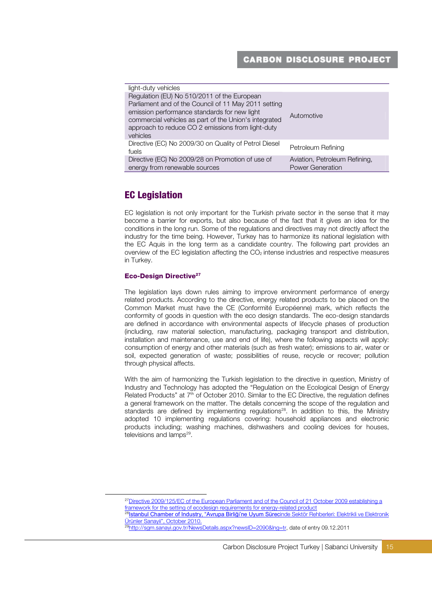| light-duty vehicles                                                                                                                                                                                                                                                           |                                                   |
|-------------------------------------------------------------------------------------------------------------------------------------------------------------------------------------------------------------------------------------------------------------------------------|---------------------------------------------------|
| Regulation (EU) No 510/2011 of the European<br>Parliament and of the Council of 11 May 2011 setting<br>emission performance standards for new light<br>commercial vehicles as part of the Union's integrated<br>approach to reduce CO 2 emissions from light-duty<br>vehicles | Automotive                                        |
| Directive (EC) No 2009/30 on Quality of Petrol Diesel<br>fuels                                                                                                                                                                                                                | Petroleum Refining                                |
| Directive (EC) No 2009/28 on Promotion of use of<br>energy from renewable sources                                                                                                                                                                                             | Aviation, Petroleum Refining,<br>Power Generation |

# EC Legislation

EC legislation is not only important for the Turkish private sector in the sense that it may become a barrier for exports, but also because of the fact that it gives an idea for the conditions in the long run. Some of the regulations and directives may not directly affect the industry for the time being. However, Turkey has to harmonize its national legislation with the EC Aquis in the long term as a candidate country. The following part provides an overview of the EC legislation affecting the CO2 intense industries and respective measures in Turkey.

### Eco-Design Directive<sup>27</sup>

-

The legislation lays down rules aiming to improve environment performance of energy related products. According to the directive, energy related products to be placed on the Common Market must have the CE (Conformité Européenne) mark, which reflects the conformity of goods in question with the eco design standards. The eco-design standards are defined in accordance with environmental aspects of lifecycle phases of production (including, raw material selection, manufacturing, packaging transport and distribution, installation and maintenance, use and end of life), where the following aspects will apply: consumption of energy and other materials (such as fresh water); emissions to air, water or soil, expected generation of waste; possibilities of reuse, recycle or recover; pollution through physical affects.

With the aim of harmonizing the Turkish legislation to the directive in question, Ministry of Industry and Technology has adopted the "Regulation on the Ecological Design of Energy Related Products" at 7<sup>th</sup> of October 2010. Similar to the EC Directive, the regulation defines a general framework on the matter. The details concerning the scope of the regulation and standards are defined by implementing regulations<sup>28</sup>. In addition to this, the Ministry adopted 10 implementing regulations covering: household appliances and electronic products including; washing machines, dishwashers and cooling devices for houses, televisions and lamps<sup>29</sup>.

<sup>&</sup>lt;sup>27</sup>Directive 2009/125/EC of the European Parliament and of the Council of 21 October 2009 establishing a framework for the setting of ecodesign requirements for energy-related product

<sup>&</sup>lt;sup>28</sup>Istanbul Chamber of Industry, "Avrupa Birliği'ne Uyum Sürecinde Sektör Rehberleri: Elektrikli ve Elektronik Ürünler Sanayii", October 2010.

<sup>29</sup>http://sgm.sanayi.gov.tr/NewsDetails.aspx?newsID=2090&lng=tr, date of entry 09.12.2011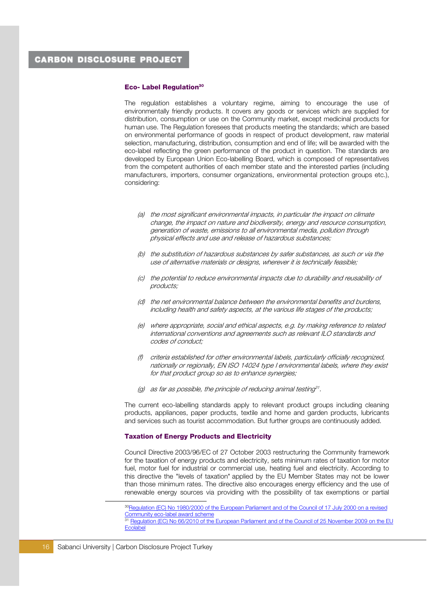#### Eco- Label Regulation<sup>30</sup>

The regulation establishes a voluntary regime, aiming to encourage the use of environmentally friendly products. It covers any goods or services which are supplied for distribution, consumption or use on the Community market, except medicinal products for human use. The Regulation foresees that products meeting the standards; which are based on environmental performance of goods in respect of product development, raw material selection, manufacturing, distribution, consumption and end of life; will be awarded with the eco-label reflecting the green performance of the product in question. The standards are developed by European Union Eco-labelling Board, which is composed of representatives from the competent authorities of each member state and the interested parties (including manufacturers, importers, consumer organizations, environmental protection groups etc.), considering:

- (a) the most significant environmental impacts, in particular the impact on climate change, the impact on nature and biodiversity, energy and resource consumption, generation of waste, emissions to all environmental media, pollution through physical effects and use and release of hazardous substances;
- (b) the substitution of hazardous substances by safer substances, as such or via the use of alternative materials or designs, wherever it is technically feasible;
- (c) the potential to reduce environmental impacts due to durability and reusability of products;
- (d) the net environmental balance between the environmental benefits and burdens, including health and safety aspects, at the various life stages of the products;
- (e) where appropriate, social and ethical aspects, e.g. by making reference to related international conventions and agreements such as relevant ILO standards and codes of conduct;
- (f) criteria established for other environmental labels, particularly officially recognized, nationally or regionally, EN ISO 14024 type I environmental labels, where they exist for that product group so as to enhance synergies;
- (g) as far as possible, the principle of reducing animal testing<sup>31</sup>.

The current eco-labelling standards apply to relevant product groups including cleaning products, appliances, paper products, textile and home and garden products, lubricants and services such as tourist accommodation. But further groups are continuously added.

#### Taxation of Energy Products and Electricity

Council Directive 2003/96/EC of 27 October 2003 restructuring the Community framework for the taxation of energy products and electricity, sets minimum rates of taxation for motor fuel, motor fuel for industrial or commercial use, heating fuel and electricity. According to this directive the "levels of taxation" applied by the EU Member States may not be lower than those minimum rates. The directive also encourages energy efficiency and the use of renewable energy sources via providing with the possibility of tax exemptions or partial

<sup>30</sup>Regulation (EC) No 1980/2000 of the European Parliament and of the Council of 17 July 2000 on a revised Community eco-label award scheme

<sup>&</sup>lt;sup>31</sup> Regulation (EC) No 66/2010 of the European Parliament and of the Council of 25 November 2009 on the EU **Ecolabel**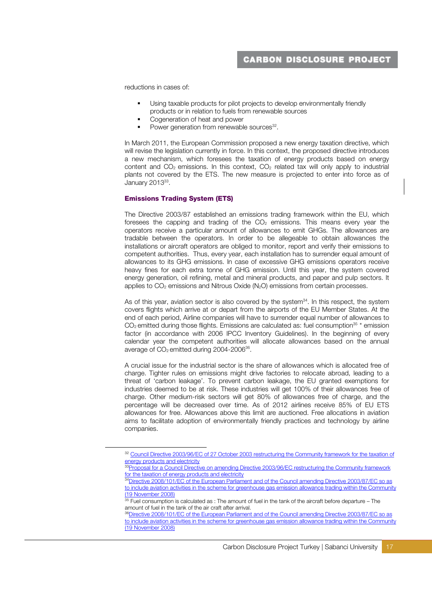reductions in cases of:

- Using taxable products for pilot projects to develop environmentally friendly products or in relation to fuels from renewable sources
- Cogeneration of heat and power
- Power generation from renewable sources<sup>32</sup>.

In March 2011, the European Commission proposed a new energy taxation directive, which will revise the legislation currently in force. In this context, the proposed directive introduces a new mechanism, which foresees the taxation of energy products based on energy content and  $CO<sub>2</sub>$  emissions. In this context,  $CO<sub>2</sub>$  related tax will only apply to industrial plants not covered by the ETS. The new measure is projected to enter into force as of January 2013<sup>33</sup>.

### Emissions Trading System (ETS)

-

The Directive 2003/87 established an emissions trading framework within the EU, which foresees the capping and trading of the  $CO<sub>2</sub>$  emissions. This means every year the operators receive a particular amount of allowances to emit GHGs. The allowances are tradable between the operators. In order to be allegeable to obtain allowances the installations or aircraft operators are obliged to monitor, report and verify their emissions to competent authorities. Thus, every year, each installation has to surrender equal amount of allowances to its GHG emissions. In case of excessive GHG emissions operators receive heavy fines for each extra tonne of GHG emission. Until this year, the system covered energy generation, oil refining, metal and mineral products, and paper and pulp sectors. It applies to  $CO<sub>2</sub>$  emissions and Nitrous Oxide (N<sub>2</sub>O) emissions from certain processes.

As of this year, aviation sector is also covered by the system $34$ . In this respect, the system covers flights which arrive at or depart from the airports of the EU Member States. At the end of each period, Airline companies will have to surrender equal number of allowances to  $CO<sub>2</sub>$  emitted during those flights. Emissions are calculated as: fuel consumption<sup>35</sup> \* emission factor (in accordance with 2006 IPCC Inventory Guidelines). In the beginning of every calendar year the competent authorities will allocate allowances based on the annual average of  $CO<sub>2</sub>$  emitted during 2004-2006 $^{36}$ .

A crucial issue for the industrial sector is the share of allowances which is allocated free of charge. Tighter rules on emissions might drive factories to relocate abroad, leading to a threat of 'carbon leakage'. To prevent carbon leakage, the EU granted exemptions for industries deemed to be at risk. These industries will get 100% of their allowances free of charge. Other medium-risk sectors will get 80% of allowances free of charge, and the percentage will be decreased over time. As of 2012 airlines receive 85% of EU ETS allowances for free. Allowances above this limit are auctioned. Free allocations in aviation aims to facilitate adoption of environmentally friendly practices and technology by airline companies.

<sup>&</sup>lt;sup>32</sup> Council Directive 2003/96/EC of 27 October 2003 restructuring the Community framework for the taxation of energy products and electricity

<sup>&</sup>lt;sup>33</sup>Proposal for a Council Directive on amending Directive 2003/96/EC restructuring the Community framework for the taxation of energy products and electricity

<sup>34</sup> Directive 2008/101/EC of the European Parliament and of the Council amending Directive 2003/87/EC so as to include aviation activities in the scheme for greenhouse gas emission allowance trading within the Community (19 November 2008)

<sup>&</sup>lt;sup>35</sup> Fuel consumption is calculated as : The amount of fuel in the tank of the aircraft before departure – The amount of fuel in the tank of the air craft after arrival.

<sup>36</sup>Directive 2008/101/EC of the European Parliament and of the Council amending Directive 2003/87/EC so as to include aviation activities in the scheme for greenhouse gas emission allowance trading within the Community (19 November 2008)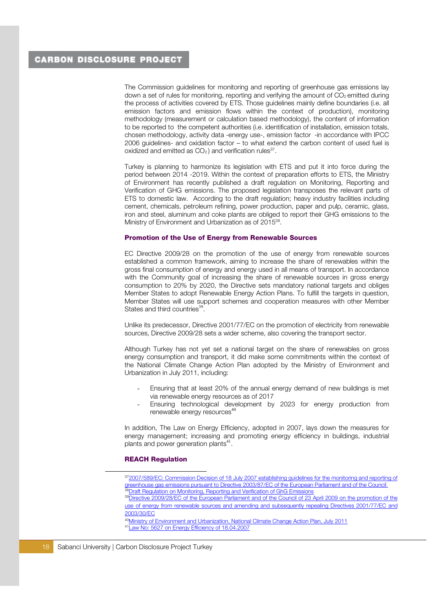The Commission guidelines for monitoring and reporting of greenhouse gas emissions lay down a set of rules for monitoring, reporting and verifying the amount of  $CO<sub>2</sub>$  emitted during the process of activities covered by ETS. Those guidelines mainly define boundaries (i.e. all emission factors and emission flows within the context of production), monitoring methodology (measurement or calculation based methodology), the content of information to be reported to the competent authorities (i.e. identification of installation, emission totals, chosen methodology, activity data -energy use-, emission factor -in accordance with IPCC 2006 guidelines- and oxidation factor – to what extend the carbon content of used fuel is oxidized and emitted as  $CO<sub>2</sub>$ ) and verification rules<sup>37</sup>.

Turkey is planning to harmonize its legislation with ETS and put it into force during the period between 2014 -2019. Within the context of preparation efforts to ETS, the Ministry of Environment has recently published a draft regulation on Monitoring, Reporting and Verification of GHG emissions. The proposed legislation transposes the relevant parts of ETS to domestic law. According to the draft regulation; heavy industry facilities including cement, chemicals, petroleum refining, power production, paper and pulp, ceramic, glass, iron and steel, aluminum and coke plants are obliged to report their GHG emissions to the Ministry of Environment and Urbanization as of 2015<sup>38</sup>.

### Promotion of the Use of Energy from Renewable Sources

EC Directive 2009/28 on the promotion of the use of energy from renewable sources established a common framework, aiming to increase the share of renewables within the gross final consumption of energy and energy used in all means of transport. In accordance with the Community goal of increasing the share of renewable sources in gross energy consumption to 20% by 2020, the Directive sets mandatory national targets and obliges Member States to adopt Renewable Energy Action Plans. To fulfill the targets in question, Member States will use support schemes and cooperation measures with other Member States and third countries<sup>39</sup> .

Unlike its predecessor, Directive 2001/77/EC on the promotion of electricity from renewable sources, Directive 2009/28 sets a wider scheme, also covering the transport sector.

Although Turkey has not yet set a national target on the share of renewables on gross energy consumption and transport, it did make some commitments within the context of the National Climate Change Action Plan adopted by the Ministry of Environment and Urbanization in July 2011, including:

- Ensuring that at least 20% of the annual energy demand of new buildings is met via renewable energy resources as of 2017
- Ensuring technological development by 2023 for energy production from renewable energy resources<sup>4</sup>

In addition, The Law on Energy Efficiency, adopted in 2007, lays down the measures for energy management; increasing and promoting energy efficiency in buildings, industrial plants and power generation plants<sup>41</sup>.

### **REACH Regulation**

- <sup>37</sup>2007/589/EC: Commission Decision of 18 July 2007 establishing guidelines for the monitoring and reporting of greenhouse gas emissions pursuant to Directive 2003/87/EC of the European Parliament and of the Council <sup>38</sup>Draft Regulation on Monitoring, Reporting and Verification of GhG Emissions
- <sup>39</sup>Directive 2009/28/EC of the European Parliament and of the Council of 23 April 2009 on the promotion of the use of energy from renewable sources and amending and subsequently repealing Directives 2001/77/EC and 2003/30/EC
- 40Ministry of Environment and Urbanization, National Climate Change Action Plan, July 2011 41Law No: 5627 on Energy Efficiency of 18.04.2007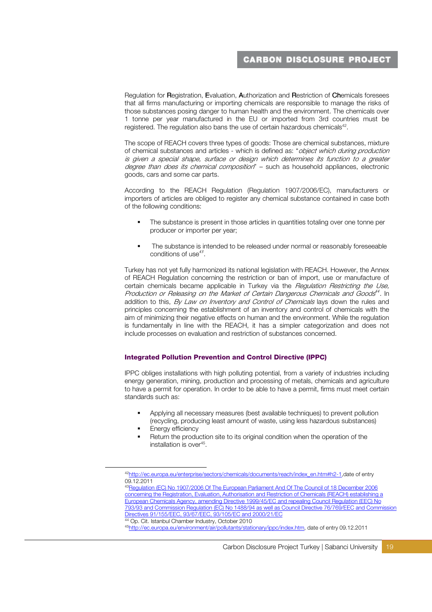Regulation for Registration, Evaluation, Authorization and Restriction of Chemicals foresees that all firms manufacturing or importing chemicals are responsible to manage the risks of those substances posing danger to human health and the environment. The chemicals over 1 tonne per year manufactured in the EU or imported from 3rd countries must be registered. The regulation also bans the use of certain hazardous chemicals<sup>42</sup>.

The scope of REACH covers three types of goods: Those are chemical substances, mixture of chemical substances and articles - which is defined as: "object which during production is given a special shape, surface or design which determines its function to a greater degree than does its chemical composition" - such as household appliances, electronic goods, cars and some car parts.

According to the REACH Regulation (Regulation 1907/2006/EC), manufacturers or importers of articles are obliged to register any chemical substance contained in case both of the following conditions:

- The substance is present in those articles in quantities totaling over one tonne per producer or importer per year;
- The substance is intended to be released under normal or reasonably foreseeable conditions of use $43$ .

Turkey has not yet fully harmonized its national legislation with REACH. However, the Annex of REACH Regulation concerning the restriction or ban of import, use or manufacture of certain chemicals became applicable in Turkey via the *Regulation Restricting the Use*, Production or Releasing on the Market of Certain Dangerous Chemicals and Goods<sup>44</sup>. In addition to this, By Law on Inventory and Control of Chemicals lays down the rules and principles concerning the establishment of an inventory and control of chemicals with the aim of minimizing their negative effects on human and the environment. While the regulation is fundamentally in line with the REACH, it has a simpler categorization and does not include processes on evaluation and restriction of substances concerned.

### Integrated Pollution Prevention and Control Directive (IPPC)

IPPC obliges installations with high polluting potential, from a variety of industries including energy generation, mining, production and processing of metals, chemicals and agriculture to have a permit for operation. In order to be able to have a permit, firms must meet certain standards such as:

- Applying all necessary measures (best available techniques) to prevent pollution (recycling, producing least amount of waste, using less hazardous substances)
- Energy efficiency

-

 Return the production site to its original condition when the operation of the installation is over<sup>45</sup> .

<sup>43</sup>Regulation (EC) No 1907/2006 Of The European Parliament And Of The Council of 18 December 2006 concerning the Registration, Evaluation, Authorisation and Restriction of Chemicals (REACH) establishing a European Chemicals Agency, amending Directive 1999/45/EC and repealing Council Regulation (EEC) No 793/93 and Commission Regulation (EC) No 1488/94 as well as Council Directive 76/769/EEC and Commission Directives 91/155/EEC, 93/67/EEC, 93/105/EC and 2000/21/EC <sup>44</sup> Op. Cit. Istanbul Chamber Industry, October 2010

<sup>42</sup>http://ec.europa.eu/enterprise/sectors/chemicals/documents/reach/index\_en.htm#h2-1,date of entry 09.12.2011

<sup>45</sup>http://ec.europa.eu/environment/air/pollutants/stationary/ippc/index.htm, date of entry 09.12.2011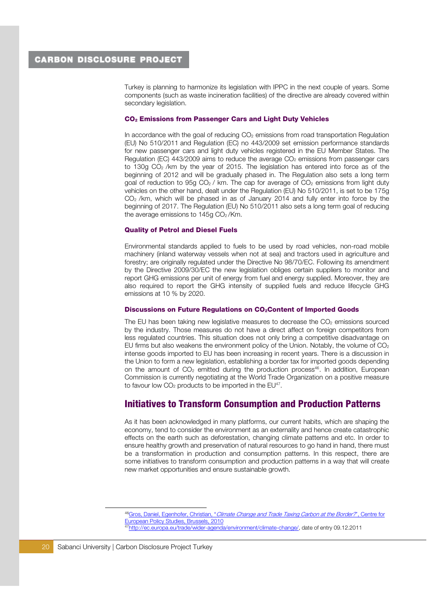Turkey is planning to harmonize its legislation with IPPC in the next couple of years. Some components (such as waste incineration facilities) of the directive are already covered within secondary legislation.

### CO2 Emissions from Passenger Cars and Light Duty Vehicles

In accordance with the goal of reducing  $CO<sub>2</sub>$  emissions from road transportation Regulation (EU) No 510/2011 and Regulation (EC) no 443/2009 set emission performance standards for new passenger cars and light duty vehicles registered in the EU Member States. The Regulation (EC)  $443/2009$  aims to reduce the average  $CO<sub>2</sub>$  emissions from passenger cars to 130g CO2 /km by the year of 2015. The legislation has entered into force as of the beginning of 2012 and will be gradually phased in. The Regulation also sets a long term goal of reduction to  $95g CO<sub>2</sub>$  / km. The cap for average of  $CO<sub>2</sub>$  emissions from light duty vehicles on the other hand, dealt under the Regulation (EU) No 510/2011, is set to be 175g  $CO<sub>2</sub>$ /km, which will be phased in as of January 2014 and fully enter into force by the beginning of 2017. The Regulation (EU) No 510/2011 also sets a long term goal of reducing the average emissions to  $145g$  CO<sub>2</sub>/Km.

### Quality of Petrol and Diesel Fuels

Environmental standards applied to fuels to be used by road vehicles, non-road mobile machinery (inland waterway vessels when not at sea) and tractors used in agriculture and forestry; are originally regulated under the Directive No 98/70/EC. Following its amendment by the Directive 2009/30/EC the new legislation obliges certain suppliers to monitor and report GHG emissions per unit of energy from fuel and energy supplied. Moreover, they are also required to report the GHG intensity of supplied fuels and reduce lifecycle GHG emissions at 10 % by 2020.

#### Discussions on Future Regulations on CO2Content of Imported Goods

The EU has been taking new legislative measures to decrease the  $CO<sub>2</sub>$  emissions sourced by the industry. Those measures do not have a direct affect on foreign competitors from less regulated countries. This situation does not only bring a competitive disadvantage on EU firms but also weakens the environment policy of the Union. Notably, the volume of  $CO<sub>2</sub>$ intense goods imported to EU has been increasing in recent years. There is a discussion in the Union to form a new legislation, establishing a border tax for imported goods depending on the amount of  $CO<sub>2</sub>$  emitted during the production process<sup>46</sup>. In addition, European Commission is currently negotiating at the World Trade Organization on a positive measure to favour low  $CO<sub>2</sub>$  products to be imported in the  $EU<sup>47</sup>$ .

### Initiatives to Transform Consumption and Production Patterns

As it has been acknowledged in many platforms, our current habits, which are shaping the economy, tend to consider the environment as an externality and hence create catastrophic effects on the earth such as deforestation, changing climate patterns and etc. In order to ensure healthy growth and preservation of natural resources to go hand in hand, there must be a transformation in production and consumption patterns. In this respect, there are some initiatives to transform consumption and production patterns in a way that will create new market opportunities and ensure sustainable growth.

<sup>46</sup>Gros, Daniel, Egenhofer, Christian, "*Climate Change and Trade Taxing Carbon at the Border?*", Centre for European Policy Studies, Brussels, 2010 47http://ec.europa.eu/trade/wider-agenda/environment/climate-change/, date of entry 09.12.2011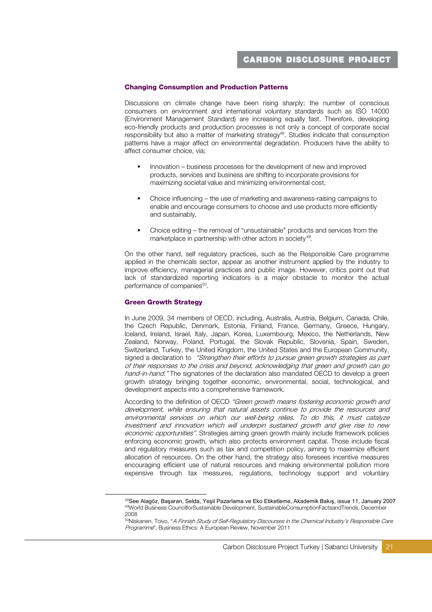### Changing Consumption and Production Patterns

Discussions on climate change have been rising sharply; the number of conscious consumers on environment and international voluntary standards such as ISO 14000 (Environment Management Standard) are increasing equally fast. Therefore, developing eco-friendly products and production processes is not only a concept of corporate social responsibility but also a matter of marketing strategy<sup>48</sup>. Studies indicate that consumption patterns have a major affect on environmental degradation. Producers have the ability to affect consumer choice, via;

- Innovation business processes for the development of new and improved products, services and business are shifting to incorporate provisions for maximizing societal value and minimizing environmental cost,
- Choice influencing the use of marketing and awareness-raising campaigns to enable and encourage consumers to choose and use products more efficiently and sustainably,
- Choice editing the removal of "unsustainable" products and services from the marketplace in partnership with other actors in society<sup>49</sup>.

On the other hand, self regulatory practices, such as the Responsible Care programme applied in the chemicals sector, appear as another instrument applied by the industry to improve efficiency, managerial practices and public image. However, critics point out that lack of standardized reporting indicators is a major obstacle to monitor the actual performance of companies<sup>50</sup>.

#### Green Growth Strategy

-

In June 2009, 34 members of OECD, including, Australia, Austria, Belgium, Canada, Chile, the Czech Republic, Denmark, Estonia, Finland, France, Germany, Greece, Hungary, Iceland, Ireland, Israel, Italy, Japan, Korea, Luxembourg, Mexico, the Netherlands, New Zealand, Norway, Poland, Portugal, the Slovak Republic, Slovenia, Spain, Sweden, Switzerland, Turkey, the United Kingdom, the United States and the European Community, signed a declaration to "Strengthen their efforts to pursue green growth strategies as part of their responses to the crisis and beyond, acknowledging that green and growth can go hand-in-hand." The signatories of the declaration also mandated OECD to develop a green growth strategy bringing together economic, environmental, social, technological, and development aspects into a comprehensive framework.

According to the definition of OECD "Green growth means fostering economic growth and development, while ensuring that natural assets continue to provide the resources and environmental services on which our well-being relies. To do this, it must catalyze investment and innovation which will underpin sustained growth and give rise to new economic opportunities". Strategies aiming green growth mainly include framework policies enforcing economic growth, which also protects environment capital. Those include fiscal and regulatory measures such as tax and competition policy, aiming to maximize efficient allocation of resources. On the other hand, the strategy also foresees incentive measures encouraging efficient use of natural resources and making environmental pollution more expensive through tax measures, regulations, technology support and voluntary

<sup>&</sup>lt;sup>48</sup>See Alagöz, Başaran, Selda, Yeşil Pazarlama ve Eko Etiketleme, Akademik Bakış, issue 11, January 2007 <sup>49</sup>World Business CouncilforSustainable Development, SustainableConsumptionFactsandTrends, December 2008

<sup>50</sup>Niskanen, Toivo, "A Finnish Study of Self-Regulatory Discourses in the Chemical Industry's Responsible Care Programme", Business Ethics: A European Review, November 2011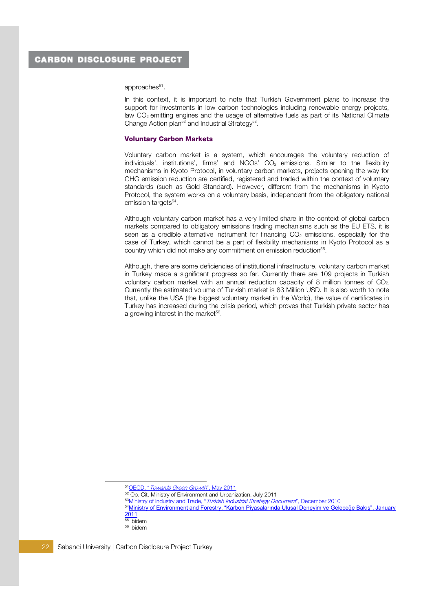approaches<sup>51</sup>.

In this context, it is important to note that Turkish Government plans to increase the support for investments in low carbon technologies including renewable energy projects, law CO2 emitting engines and the usage of alternative fuels as part of its National Climate Change Action plan<sup>52</sup> and Industrial Strategy<sup>53</sup>.

### Voluntary Carbon Markets

Voluntary carbon market is a system, which encourages the voluntary reduction of individuals', institutions', firms' and NGOs'  $CO<sub>2</sub>$  emissions. Similar to the flexibility mechanisms in Kyoto Protocol, in voluntary carbon markets, projects opening the way for GHG emission reduction are certified, registered and traded within the context of voluntary standards (such as Gold Standard). However, different from the mechanisms in Kyoto Protocol, the system works on a voluntary basis, independent from the obligatory national emission targets<sup>54</sup>.

Although voluntary carbon market has a very limited share in the context of global carbon markets compared to obligatory emissions trading mechanisms such as the EU ETS, it is seen as a credible alternative instrument for financing  $CO<sub>2</sub>$  emissions, especially for the case of Turkey, which cannot be a part of flexibility mechanisms in Kyoto Protocol as a country which did not make any commitment on emission reduction<sup>55</sup>.

Although, there are some deficiencies of institutional infrastructure, voluntary carbon market in Turkey made a significant progress so far. Currently there are 109 projects in Turkish voluntary carbon market with an annual reduction capacity of 8 million tonnes of CO<sub>2</sub>. Currently the estimated volume of Turkish market is 83 Million USD. It is also worth to note that, unlike the USA (the biggest voluntary market in the World), the value of certificates in Turkey has increased during the crisis period, which proves that Turkish private sector has a growing interest in the market<sup>56</sup>.

<sup>51</sup>OECD, "Towards Green Growth", May 2011

<sup>&</sup>lt;sup>52</sup> Op. Cit. Ministry of Environment and Urbanization, July 2011

<sup>&</sup>lt;sup>53</sup>Ministry of Industry and Trade, "Turkish Industrial Strategy Document", December 2010

<sup>54</sup>Ministry of Environment and Forestry, "Karbon Piyasalarında Ulusal Deneyim ve Geleceğe Bakış", January  $2011$  $\overline{\overline{\phantom{a}}}$  Ibidem

<sup>56</sup> Ibidem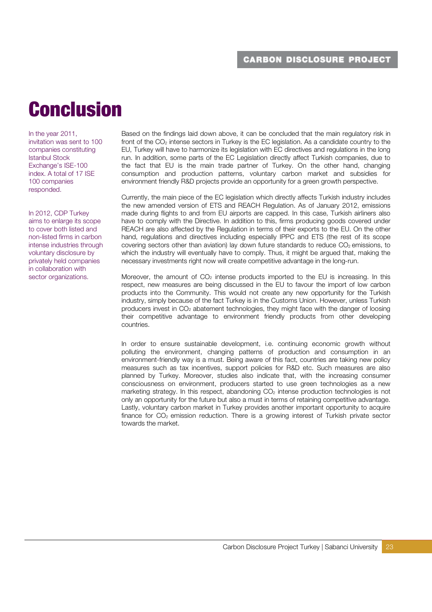# Conclusion

In the year 2011, invitation was sent to 100 companies constituting Istanbul Stock Exchange's ISE-100 index. A total of 17 ISE 100 companies responded.

In 2012, CDP Turkey aims to enlarge its scope to cover both listed and non-listed firms in carbon intense industries through voluntary disclosure by privately held companies in collaboration with sector organizations.

Based on the findings laid down above, it can be concluded that the main regulatory risk in front of the  $CO<sub>2</sub>$  intense sectors in Turkey is the EC legislation. As a candidate country to the EU, Turkey will have to harmonize its legislation with EC directives and regulations in the long run. In addition, some parts of the EC Legislation directly affect Turkish companies, due to the fact that EU is the main trade partner of Turkey. On the other hand, changing consumption and production patterns, voluntary carbon market and subsidies for environment friendly R&D projects provide an opportunity for a green growth perspective.

Currently, the main piece of the EC legislation which directly affects Turkish industry includes the new amended version of ETS and REACH Regulation. As of January 2012, emissions made during flights to and from EU airports are capped. In this case, Turkish airliners also have to comply with the Directive. In addition to this, firms producing goods covered under REACH are also affected by the Regulation in terms of their exports to the EU. On the other hand, regulations and directives including especially IPPC and ETS (the rest of its scope covering sectors other than aviation) lay down future standards to reduce  $CO<sub>2</sub>$  emissions, to which the industry will eventually have to comply. Thus, it might be argued that, making the necessary investments right now will create competitive advantage in the long-run.

Moreover, the amount of  $CO<sub>2</sub>$  intense products imported to the EU is increasing. In this respect, new measures are being discussed in the EU to favour the import of low carbon products into the Community. This would not create any new opportunity for the Turkish industry, simply because of the fact Turkey is in the Customs Union. However, unless Turkish producers invest in CO2 abatement technologies, they might face with the danger of loosing their competitive advantage to environment friendly products from other developing countries.

In order to ensure sustainable development, i.e. continuing economic growth without polluting the environment, changing patterns of production and consumption in an environment-friendly way is a must. Being aware of this fact, countries are taking new policy measures such as tax incentives, support policies for R&D etc. Such measures are also planned by Turkey. Moreover, studies also indicate that, with the increasing consumer consciousness on environment, producers started to use green technologies as a new marketing strategy. In this respect, abandoning CO<sub>2</sub> intense production technologies is not only an opportunity for the future but also a must in terms of retaining competitive advantage. Lastly, voluntary carbon market in Turkey provides another important opportunity to acquire finance for  $CO<sub>2</sub>$  emission reduction. There is a growing interest of Turkish private sector towards the market.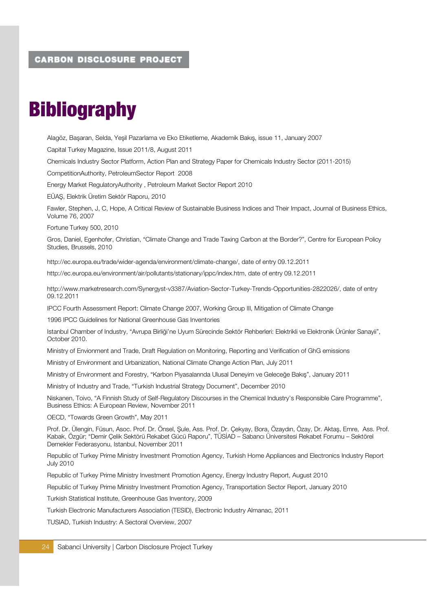# **Bibliography**

Alagöz, Başaran, Selda, Yeşil Pazarlama ve Eko Etiketleme, Akademik Bakış, issue 11, January 2007 Capital Turkey Magazine, Issue 2011/8, August 2011 Chemicals Industry Sector Platform, Action Plan and Strategy Paper for Chemicals Industry Sector (2011-2015) CompetitionAuthority, PetroleumSector Report 2008 Energy Market RegulatoryAuthority , Petroleum Market Sector Report 2010 EÜAŞ, Elektrik Üretim Sektör Raporu, 2010 Fawler, Stephen, J, C, Hope, A Critical Review of Sustainable Business Indices and Their Impact, Journal of Business Ethics, Volume 76, 2007 Fortune Turkey 500, 2010 Gros, Daniel, Egenhofer, Christian, "Climate Change and Trade Taxing Carbon at the Border?", Centre for European Policy Studies, Brussels, 2010 http://ec.europa.eu/trade/wider-agenda/environment/climate-change/, date of entry 09.12.2011 http://ec.europa.eu/environment/air/pollutants/stationary/ippc/index.htm, date of entry 09.12.2011 http://www.marketresearch.com/Synergyst-v3387/Aviation-Sector-Turkey-Trends-Opportunities-2822026/, date of entry 09.12.2011 IPCC Fourth Assessment Report: Climate Change 2007, Working Group III, Mitigation of Climate Change 1996 IPCC Guidelines for National Greenhouse Gas Inventories Istanbul Chamber of Industry, "Avrupa Birliği'ne Uyum Sürecinde Sektör Rehberleri: Elektrikli ve Elektronik Ürünler Sanayii", October 2010.

Ministry of Envionment and Trade, Draft Regulation on Monitoring, Reporting and Verification of GhG emissions

Ministry of Environment and Urbanization, National Climate Change Action Plan, July 2011

Ministry of Environment and Forestry, "Karbon Piyasalarında Ulusal Deneyim ve Geleceğe Bakış", January 2011

Ministry of Industry and Trade, "Turkish Industrial Strategy Document", December 2010

Niskanen, Toivo, "A Finnish Study of Self-Regulatory Discourses in the Chemical Industry's Responsible Care Programme", Business Ethics: A European Review, November 2011

OECD, "Towards Green Growth", May 2011

Prof. Dr. Ülengin, Füsun, Asoc. Prof. Dr. Önsel, Şule, Ass. Prof. Dr. Çekyay, Bora, Özaydın, Özay, Dr. Aktaş, Emre, Ass. Prof. Kabak, Özgür; "Demir Çelik Sektörü Rekabet Gücü Raporu", TÜSİAD – Sabancı Üniversitesi Rekabet Forumu – Sektörel Dernekler Federasyonu, Istanbul, November 2011

Republic of Turkey Prime Ministry Investment Promotion Agency, Turkish Home Appliances and Electronics Industry Report July 2010

Republic of Turkey Prime Ministry Investment Promotion Agency, Energy Industry Report, August 2010

Republic of Turkey Prime Ministry Investment Promotion Agency, Transportation Sector Report, January 2010

Turkish Statistical Institute, Greenhouse Gas Inventory, 2009

Turkish Electronic Manufacturers Association (TESID), Electronic Industry Almanac, 2011

TUSIAD, Turkish Industry: A Sectoral Overview, 2007